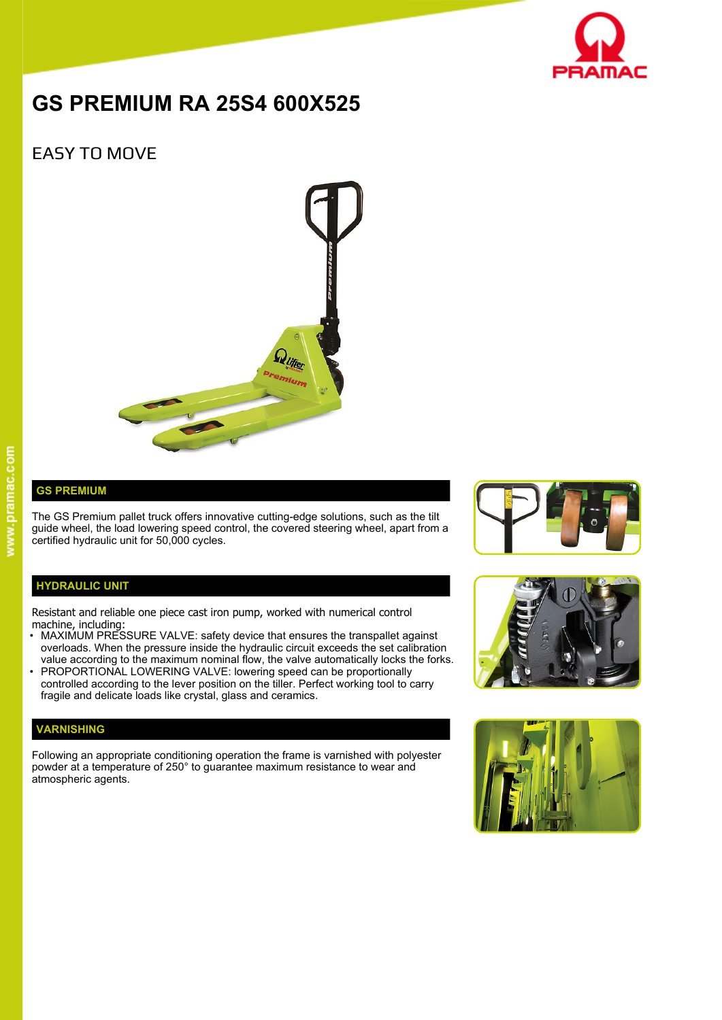

# **GS PREMIUM RA 25S4 600X525**

## EASY TO MOVE



#### **GS PREMIUM**

The GS Premium pallet truck offers innovative cutting-edge solutions, such as the tilt guide wheel, the load lowering speed control, the covered steering wheel, apart from a certified hydraulic unit for 50,000 cycles.

### **HYDRAULIC UNIT**

Resistant and reliable one piece cast iron pump, worked with numerical control machine, including:

- MAXIMUM PRESSURE VALVE: safety device that ensures the transpallet against overloads. When the pressure inside the hydraulic circuit exceeds the set calibration value according to the maximum nominal flow, the valve automatically locks the forks.
- PROPORTIONAL LOWERING VALVE: lowering speed can be proportionally controlled according to the lever position on the tiller. Perfect working tool to carry fragile and delicate loads like crystal, glass and ceramics.

#### **VARNISHING**

Following an appropriate conditioning operation the frame is varnished with polyester powder at a temperature of 250° to guarantee maximum resistance to wear and atmospheric agents.





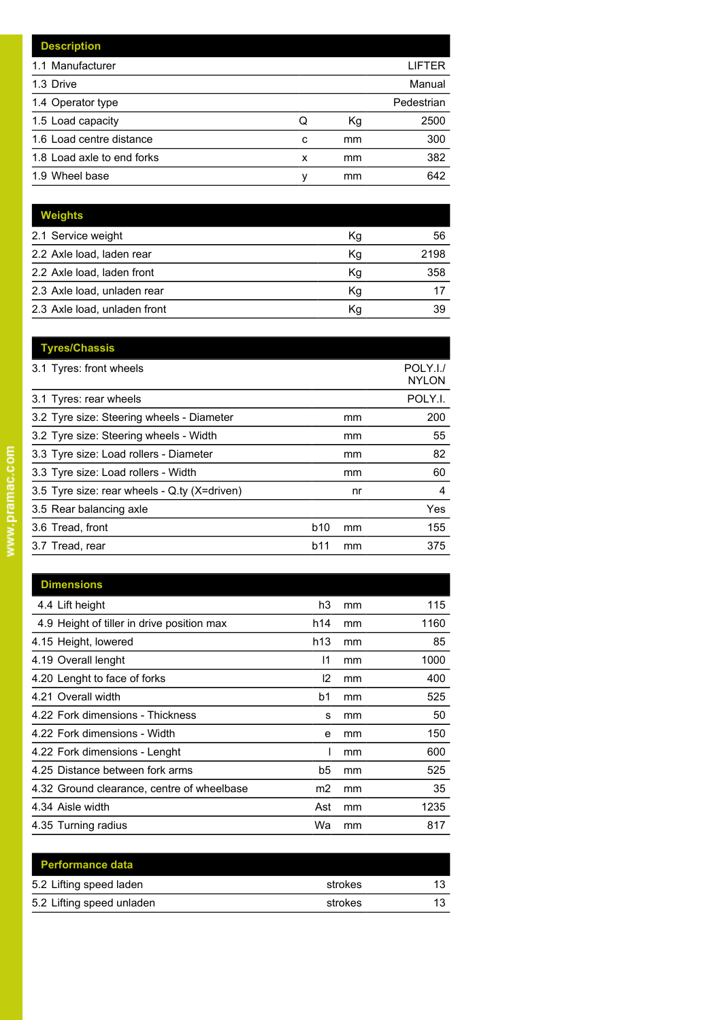|   |    | LIFTER     |
|---|----|------------|
|   |    | Manual     |
|   |    | Pedestrian |
| Q | Кg | 2500       |
| c | mm | 300        |
| x | mm | 382        |
| ν | mm | 642        |
|   |    |            |

| <b>Weights</b>               |    |      |
|------------------------------|----|------|
| 2.1 Service weight           | Kg | 56   |
| 2.2 Axle load, laden rear    | Kg | 2198 |
| 2.2 Axle load, laden front   | Kg | 358  |
| 2.3 Axle load, unladen rear  | Κq |      |
| 2.3 Axle load, unladen front | Κq | 39   |

| <b>Tyres/Chassis</b>                         |                 |    | POLY.I./     |
|----------------------------------------------|-----------------|----|--------------|
| 3.1 Tyres: front wheels                      |                 |    | <b>NYLON</b> |
| 3.1 Tyres: rear wheels                       |                 |    | POLY.I.      |
| 3.2 Tyre size: Steering wheels - Diameter    |                 | mm | 200          |
| 3.2 Tyre size: Steering wheels - Width       |                 | mm | 55           |
| 3.3 Tyre size: Load rollers - Diameter       |                 | mm | 82           |
| 3.3 Tyre size: Load rollers - Width          |                 | mm | 60           |
| 3.5 Tyre size: rear wheels - Q.ty (X=driven) |                 | nr | 4            |
| 3.5 Rear balancing axle                      |                 |    | Yes          |
| 3.6 Tread, front                             | b <sub>10</sub> | mm | 155          |
| 3.7 Tread, rear                              | b11             | mm | 375          |
|                                              |                 |    |              |

| <b>Dimensions</b>                          |                |    |      |
|--------------------------------------------|----------------|----|------|
| 4.4 Lift height                            | h3             | mm | 115  |
| 4.9 Height of tiller in drive position max | h14            | mm | 1160 |
| 4.15 Height, lowered                       | h13            | mm | 85   |
| 4.19 Overall lenght                        | 11             | mm | 1000 |
| 4.20 Lenght to face of forks               | 12             | mm | 400  |
| 4.21 Overall width                         | b <sub>1</sub> | mm | 525  |
| 4.22 Fork dimensions - Thickness           | s              | mm | 50   |
| 4.22 Fork dimensions - Width               | e              | mm | 150  |
| 4.22 Fork dimensions - Lenght              |                | mm | 600  |
| 4.25 Distance between fork arms            | b5             | mm | 525  |
| 4.32 Ground clearance, centre of wheelbase | m2             | mm | 35   |
| 4.34 Aisle width                           | Ast            | mm | 1235 |
| 4.35 Turning radius                        | Wa             | mm | 817  |

| <b>Performance data</b>   |         |    |
|---------------------------|---------|----|
| 5.2 Lifting speed laden   | strokes | 13 |
| 5.2 Lifting speed unladen | strokes | 13 |
|                           |         |    |